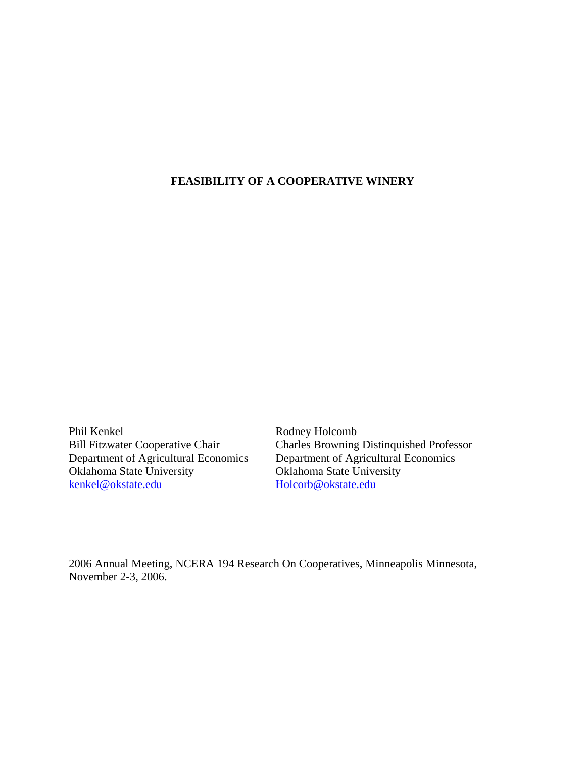# **FEASIBILITY OF A COOPERATIVE WINERY**

Phil Kenkel<br>Bill Fitzwater Cooperative Chair<br>Charles Browning Oklahoma State University<br>
Renkel@okstate.edu<br>
Holcorb@okstate.edu<br>
Holcorb@okstate.edu

Bill Fitzwater Cooperative Chair Charles Browning Distinquished Professor<br>Department of Agricultural Economics Department of Agricultural Economics Department of Agricultural Economics Department of Agricultural Economics kenkel@okstate.edu Holcorb@okstate.edu

2006 Annual Meeting, NCERA 194 Research On Cooperatives, Minneapolis Minnesota, November 2-3, 2006.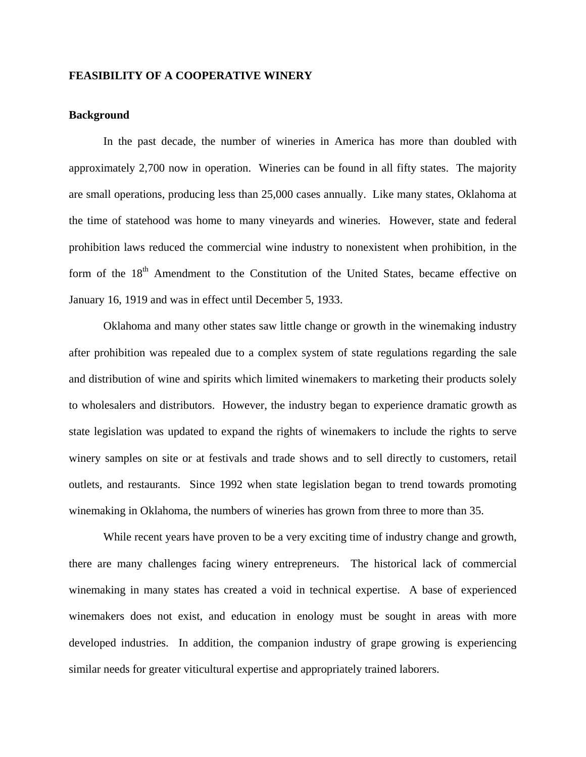# **FEASIBILITY OF A COOPERATIVE WINERY**

# **Background**

In the past decade, the number of wineries in America has more than doubled with approximately 2,700 now in operation. Wineries can be found in all fifty states. The majority are small operations, producing less than 25,000 cases annually. Like many states, Oklahoma at the time of statehood was home to many vineyards and wineries. However, state and federal prohibition laws reduced the commercial wine industry to nonexistent when prohibition, in the form of the 18<sup>th</sup> Amendment to the Constitution of the United States, became effective on January 16, 1919 and was in effect until December 5, 1933.

 Oklahoma and many other states saw little change or growth in the winemaking industry after prohibition was repealed due to a complex system of state regulations regarding the sale and distribution of wine and spirits which limited winemakers to marketing their products solely to wholesalers and distributors. However, the industry began to experience dramatic growth as state legislation was updated to expand the rights of winemakers to include the rights to serve winery samples on site or at festivals and trade shows and to sell directly to customers, retail outlets, and restaurants. Since 1992 when state legislation began to trend towards promoting winemaking in Oklahoma, the numbers of wineries has grown from three to more than 35.

While recent years have proven to be a very exciting time of industry change and growth, there are many challenges facing winery entrepreneurs. The historical lack of commercial winemaking in many states has created a void in technical expertise. A base of experienced winemakers does not exist, and education in enology must be sought in areas with more developed industries. In addition, the companion industry of grape growing is experiencing similar needs for greater viticultural expertise and appropriately trained laborers.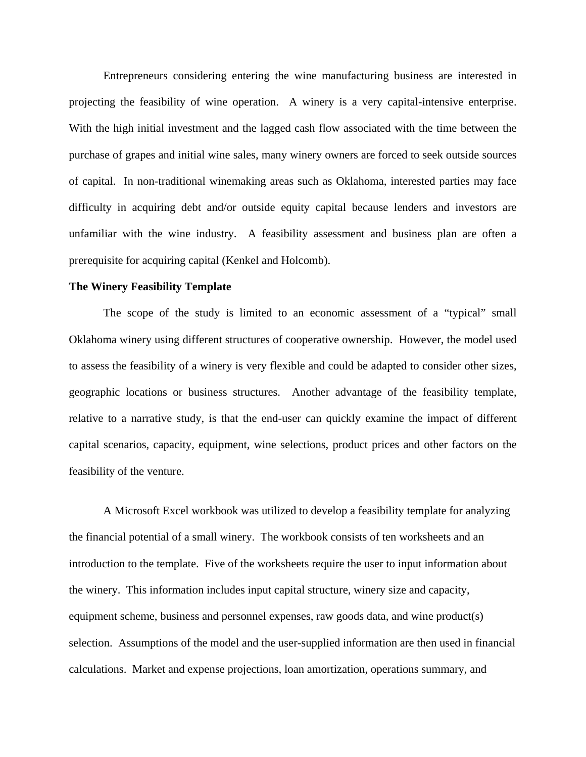Entrepreneurs considering entering the wine manufacturing business are interested in projecting the feasibility of wine operation. A winery is a very capital-intensive enterprise. With the high initial investment and the lagged cash flow associated with the time between the purchase of grapes and initial wine sales, many winery owners are forced to seek outside sources of capital. In non-traditional winemaking areas such as Oklahoma, interested parties may face difficulty in acquiring debt and/or outside equity capital because lenders and investors are unfamiliar with the wine industry. A feasibility assessment and business plan are often a prerequisite for acquiring capital (Kenkel and Holcomb).

## **The Winery Feasibility Template**

The scope of the study is limited to an economic assessment of a "typical" small Oklahoma winery using different structures of cooperative ownership. However, the model used to assess the feasibility of a winery is very flexible and could be adapted to consider other sizes, geographic locations or business structures. Another advantage of the feasibility template, relative to a narrative study, is that the end-user can quickly examine the impact of different capital scenarios, capacity, equipment, wine selections, product prices and other factors on the feasibility of the venture.

 A Microsoft Excel workbook was utilized to develop a feasibility template for analyzing the financial potential of a small winery. The workbook consists of ten worksheets and an introduction to the template. Five of the worksheets require the user to input information about the winery. This information includes input capital structure, winery size and capacity, equipment scheme, business and personnel expenses, raw goods data, and wine product(s) selection. Assumptions of the model and the user-supplied information are then used in financial calculations. Market and expense projections, loan amortization, operations summary, and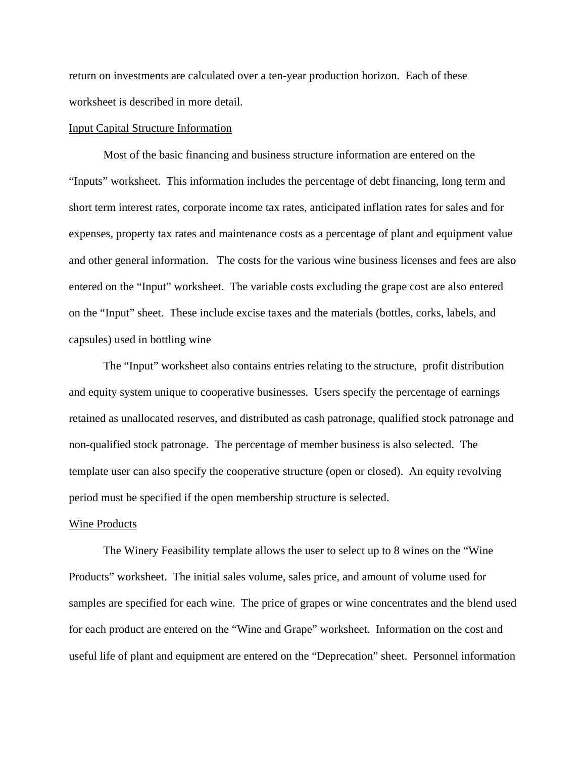return on investments are calculated over a ten-year production horizon. Each of these worksheet is described in more detail.

# Input Capital Structure Information

 Most of the basic financing and business structure information are entered on the "Inputs" worksheet. This information includes the percentage of debt financing, long term and short term interest rates, corporate income tax rates, anticipated inflation rates for sales and for expenses, property tax rates and maintenance costs as a percentage of plant and equipment value and other general information. The costs for the various wine business licenses and fees are also entered on the "Input" worksheet. The variable costs excluding the grape cost are also entered on the "Input" sheet. These include excise taxes and the materials (bottles, corks, labels, and capsules) used in bottling wine

The "Input" worksheet also contains entries relating to the structure, profit distribution and equity system unique to cooperative businesses. Users specify the percentage of earnings retained as unallocated reserves, and distributed as cash patronage, qualified stock patronage and non-qualified stock patronage. The percentage of member business is also selected. The template user can also specify the cooperative structure (open or closed). An equity revolving period must be specified if the open membership structure is selected.

#### Wine Products

The Winery Feasibility template allows the user to select up to 8 wines on the "Wine Products" worksheet. The initial sales volume, sales price, and amount of volume used for samples are specified for each wine. The price of grapes or wine concentrates and the blend used for each product are entered on the "Wine and Grape" worksheet. Information on the cost and useful life of plant and equipment are entered on the "Deprecation" sheet. Personnel information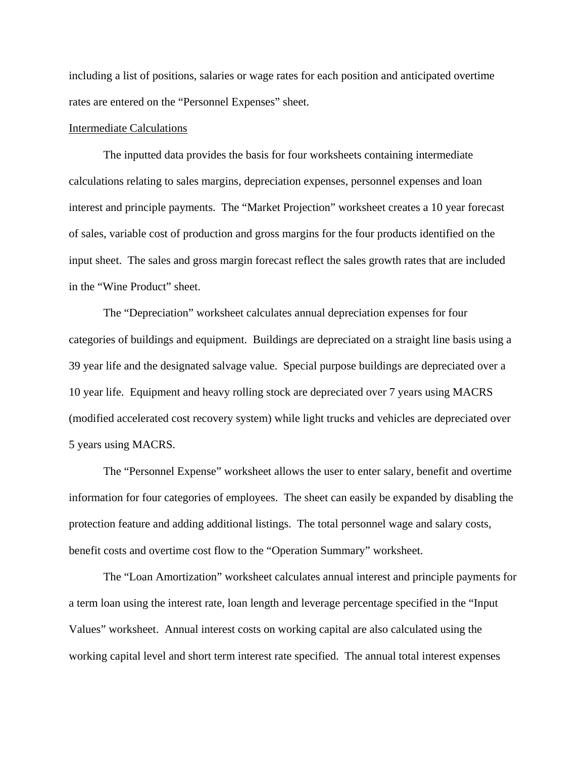including a list of positions, salaries or wage rates for each position and anticipated overtime rates are entered on the "Personnel Expenses" sheet.

## Intermediate Calculations

 The inputted data provides the basis for four worksheets containing intermediate calculations relating to sales margins, depreciation expenses, personnel expenses and loan interest and principle payments. The "Market Projection" worksheet creates a 10 year forecast of sales, variable cost of production and gross margins for the four products identified on the input sheet. The sales and gross margin forecast reflect the sales growth rates that are included in the "Wine Product" sheet.

 The "Depreciation" worksheet calculates annual depreciation expenses for four categories of buildings and equipment. Buildings are depreciated on a straight line basis using a 39 year life and the designated salvage value. Special purpose buildings are depreciated over a 10 year life. Equipment and heavy rolling stock are depreciated over 7 years using MACRS (modified accelerated cost recovery system) while light trucks and vehicles are depreciated over 5 years using MACRS.

 The "Personnel Expense" worksheet allows the user to enter salary, benefit and overtime information for four categories of employees. The sheet can easily be expanded by disabling the protection feature and adding additional listings. The total personnel wage and salary costs, benefit costs and overtime cost flow to the "Operation Summary" worksheet.

 The "Loan Amortization" worksheet calculates annual interest and principle payments for a term loan using the interest rate, loan length and leverage percentage specified in the "Input Values" worksheet. Annual interest costs on working capital are also calculated using the working capital level and short term interest rate specified. The annual total interest expenses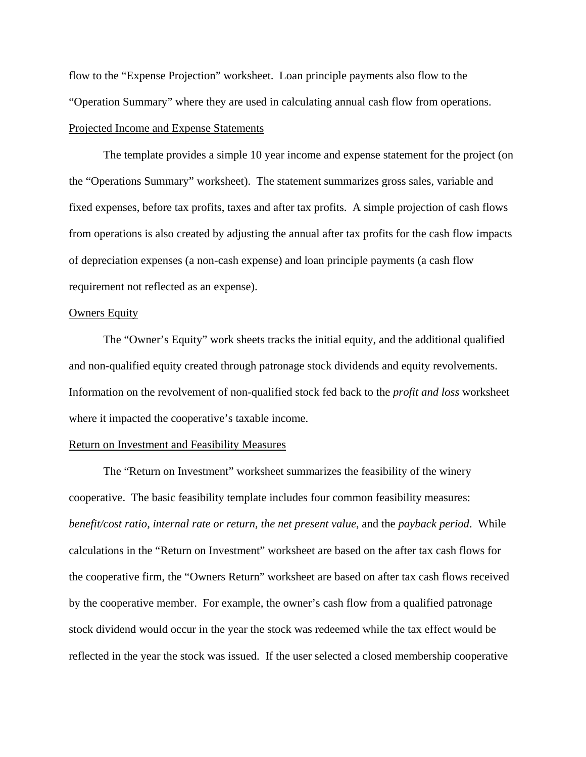flow to the "Expense Projection" worksheet. Loan principle payments also flow to the "Operation Summary" where they are used in calculating annual cash flow from operations. Projected Income and Expense Statements

 The template provides a simple 10 year income and expense statement for the project (on the "Operations Summary" worksheet). The statement summarizes gross sales, variable and fixed expenses, before tax profits, taxes and after tax profits. A simple projection of cash flows from operations is also created by adjusting the annual after tax profits for the cash flow impacts of depreciation expenses (a non-cash expense) and loan principle payments (a cash flow requirement not reflected as an expense).

## **Owners Equity**

The "Owner's Equity" work sheets tracks the initial equity, and the additional qualified and non-qualified equity created through patronage stock dividends and equity revolvements. Information on the revolvement of non-qualified stock fed back to the *profit and loss* worksheet where it impacted the cooperative's taxable income.

# Return on Investment and Feasibility Measures

The "Return on Investment" worksheet summarizes the feasibility of the winery cooperative. The basic feasibility template includes four common feasibility measures: *benefit/cost ratio, internal rate or return, the net present value*, and the *payback period*. While calculations in the "Return on Investment" worksheet are based on the after tax cash flows for the cooperative firm, the "Owners Return" worksheet are based on after tax cash flows received by the cooperative member. For example, the owner's cash flow from a qualified patronage stock dividend would occur in the year the stock was redeemed while the tax effect would be reflected in the year the stock was issued. If the user selected a closed membership cooperative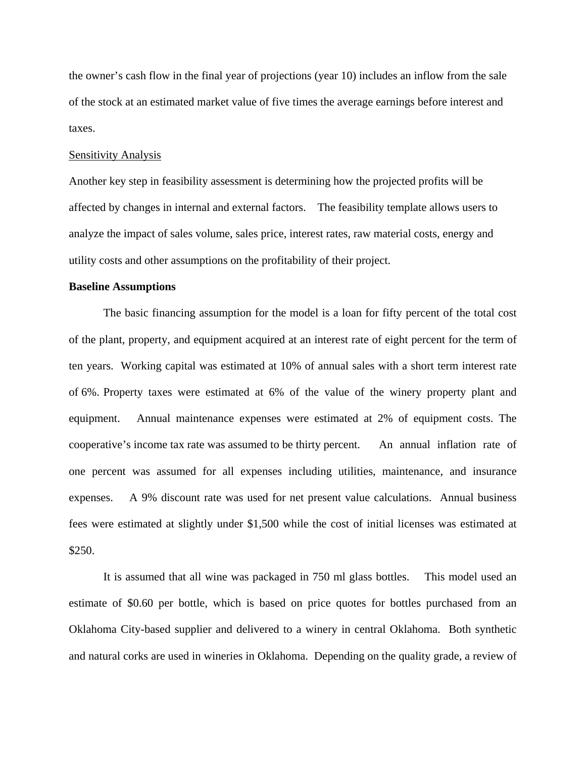the owner's cash flow in the final year of projections (year 10) includes an inflow from the sale of the stock at an estimated market value of five times the average earnings before interest and taxes.

#### Sensitivity Analysis

Another key step in feasibility assessment is determining how the projected profits will be affected by changes in internal and external factors. The feasibility template allows users to analyze the impact of sales volume, sales price, interest rates, raw material costs, energy and utility costs and other assumptions on the profitability of their project.

# **Baseline Assumptions**

The basic financing assumption for the model is a loan for fifty percent of the total cost of the plant, property, and equipment acquired at an interest rate of eight percent for the term of ten years. Working capital was estimated at 10% of annual sales with a short term interest rate of 6%. Property taxes were estimated at 6% of the value of the winery property plant and equipment. Annual maintenance expenses were estimated at 2% of equipment costs. The cooperative's income tax rate was assumed to be thirty percent. An annual inflation rate of one percent was assumed for all expenses including utilities, maintenance, and insurance expenses. A 9% discount rate was used for net present value calculations. Annual business fees were estimated at slightly under \$1,500 while the cost of initial licenses was estimated at \$250.

It is assumed that all wine was packaged in 750 ml glass bottles. This model used an estimate of \$0.60 per bottle, which is based on price quotes for bottles purchased from an Oklahoma City-based supplier and delivered to a winery in central Oklahoma. Both synthetic and natural corks are used in wineries in Oklahoma. Depending on the quality grade, a review of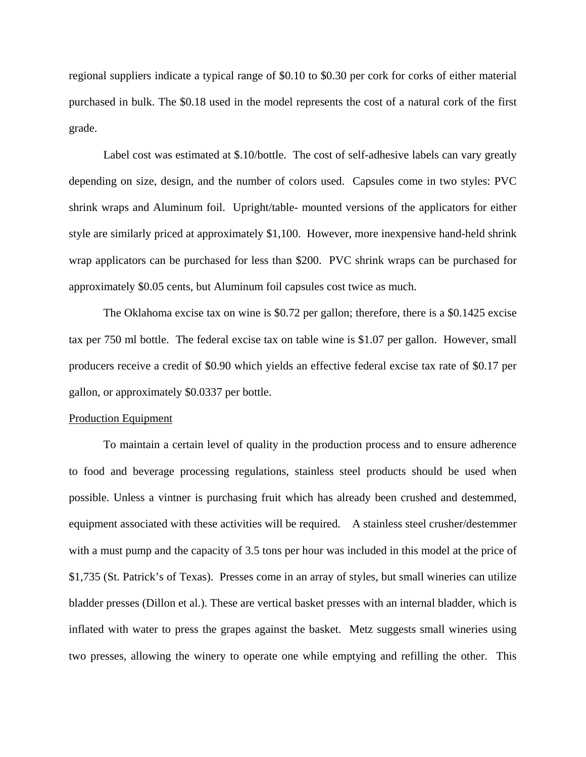regional suppliers indicate a typical range of \$0.10 to \$0.30 per cork for corks of either material purchased in bulk. The \$0.18 used in the model represents the cost of a natural cork of the first grade.

 Label cost was estimated at \$.10/bottle. The cost of self-adhesive labels can vary greatly depending on size, design, and the number of colors used. Capsules come in two styles: PVC shrink wraps and Aluminum foil. Upright/table- mounted versions of the applicators for either style are similarly priced at approximately \$1,100. However, more inexpensive hand-held shrink wrap applicators can be purchased for less than \$200. PVC shrink wraps can be purchased for approximately \$0.05 cents, but Aluminum foil capsules cost twice as much.

 The Oklahoma excise tax on wine is \$0.72 per gallon; therefore, there is a \$0.1425 excise tax per 750 ml bottle. The federal excise tax on table wine is \$1.07 per gallon. However, small producers receive a credit of \$0.90 which yields an effective federal excise tax rate of \$0.17 per gallon, or approximately \$0.0337 per bottle.

#### Production Equipment

To maintain a certain level of quality in the production process and to ensure adherence to food and beverage processing regulations, stainless steel products should be used when possible. Unless a vintner is purchasing fruit which has already been crushed and destemmed, equipment associated with these activities will be required. A stainless steel crusher/destemmer with a must pump and the capacity of 3.5 tons per hour was included in this model at the price of \$1,735 (St. Patrick's of Texas). Presses come in an array of styles, but small wineries can utilize bladder presses (Dillon et al.). These are vertical basket presses with an internal bladder, which is inflated with water to press the grapes against the basket. Metz suggests small wineries using two presses, allowing the winery to operate one while emptying and refilling the other. This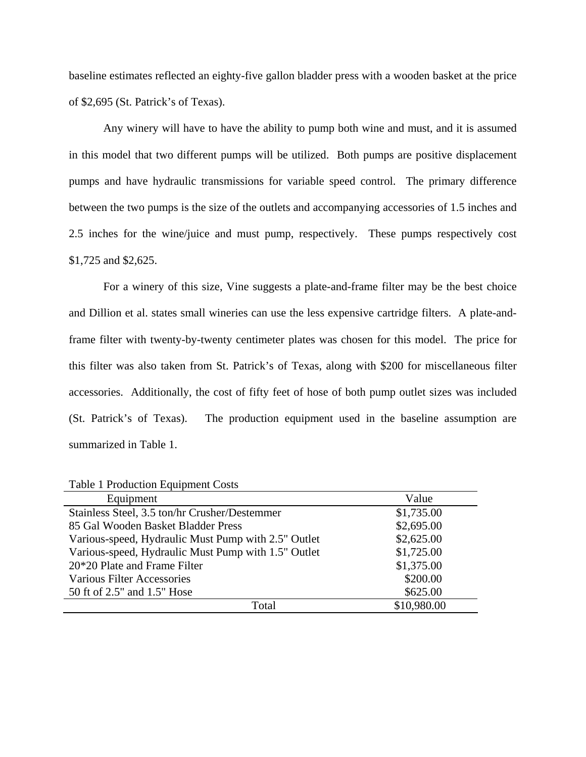baseline estimates reflected an eighty-five gallon bladder press with a wooden basket at the price of \$2,695 (St. Patrick's of Texas).

Any winery will have to have the ability to pump both wine and must, and it is assumed in this model that two different pumps will be utilized. Both pumps are positive displacement pumps and have hydraulic transmissions for variable speed control. The primary difference between the two pumps is the size of the outlets and accompanying accessories of 1.5 inches and 2.5 inches for the wine/juice and must pump, respectively. These pumps respectively cost \$1,725 and \$2,625.

For a winery of this size, Vine suggests a plate-and-frame filter may be the best choice and Dillion et al. states small wineries can use the less expensive cartridge filters. A plate-andframe filter with twenty-by-twenty centimeter plates was chosen for this model. The price for this filter was also taken from St. Patrick's of Texas, along with \$200 for miscellaneous filter accessories. Additionally, the cost of fifty feet of hose of both pump outlet sizes was included (St. Patrick's of Texas). The production equipment used in the baseline assumption are summarized in Table 1.

| Equipment                                           | Value       |
|-----------------------------------------------------|-------------|
| Stainless Steel, 3.5 ton/hr Crusher/Destemmer       | \$1,735.00  |
| 85 Gal Wooden Basket Bladder Press                  | \$2,695.00  |
| Various-speed, Hydraulic Must Pump with 2.5" Outlet | \$2,625.00  |
| Various-speed, Hydraulic Must Pump with 1.5" Outlet | \$1,725.00  |
| 20*20 Plate and Frame Filter                        | \$1,375.00  |
| <b>Various Filter Accessories</b>                   | \$200.00    |
| 50 ft of 2.5" and 1.5" Hose                         | \$625.00    |
| Total                                               | \$10,980.00 |

Table 1 Production Equipment Costs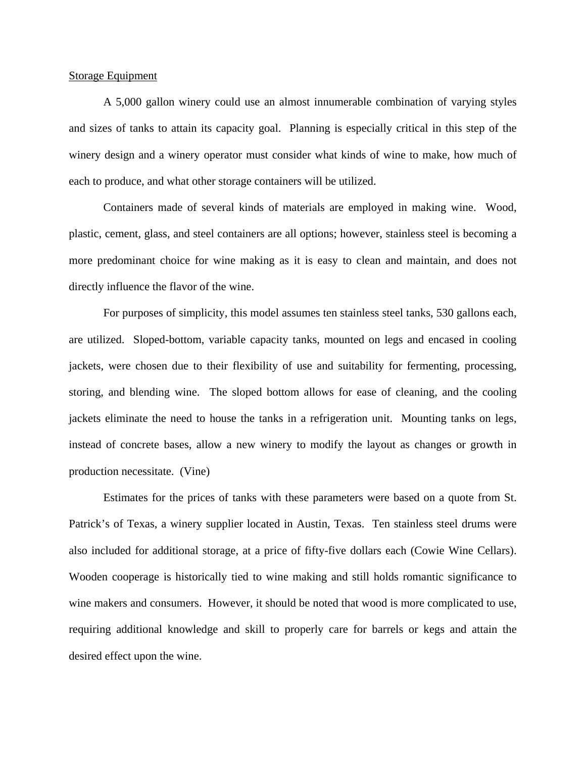# Storage Equipment

A 5,000 gallon winery could use an almost innumerable combination of varying styles and sizes of tanks to attain its capacity goal. Planning is especially critical in this step of the winery design and a winery operator must consider what kinds of wine to make, how much of each to produce, and what other storage containers will be utilized.

Containers made of several kinds of materials are employed in making wine. Wood, plastic, cement, glass, and steel containers are all options; however, stainless steel is becoming a more predominant choice for wine making as it is easy to clean and maintain, and does not directly influence the flavor of the wine.

For purposes of simplicity, this model assumes ten stainless steel tanks, 530 gallons each, are utilized. Sloped-bottom, variable capacity tanks, mounted on legs and encased in cooling jackets, were chosen due to their flexibility of use and suitability for fermenting, processing, storing, and blending wine. The sloped bottom allows for ease of cleaning, and the cooling jackets eliminate the need to house the tanks in a refrigeration unit. Mounting tanks on legs, instead of concrete bases, allow a new winery to modify the layout as changes or growth in production necessitate. (Vine)

Estimates for the prices of tanks with these parameters were based on a quote from St. Patrick's of Texas, a winery supplier located in Austin, Texas. Ten stainless steel drums were also included for additional storage, at a price of fifty-five dollars each (Cowie Wine Cellars). Wooden cooperage is historically tied to wine making and still holds romantic significance to wine makers and consumers. However, it should be noted that wood is more complicated to use, requiring additional knowledge and skill to properly care for barrels or kegs and attain the desired effect upon the wine.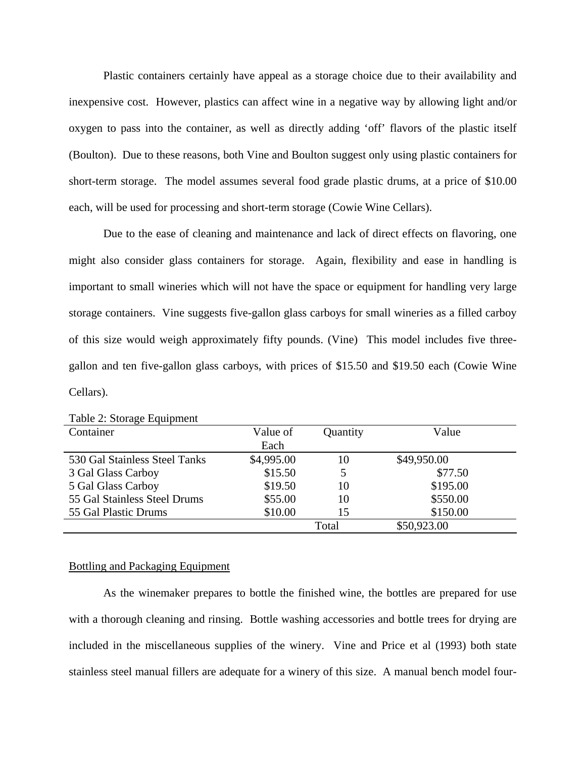Plastic containers certainly have appeal as a storage choice due to their availability and inexpensive cost. However, plastics can affect wine in a negative way by allowing light and/or oxygen to pass into the container, as well as directly adding 'off' flavors of the plastic itself (Boulton). Due to these reasons, both Vine and Boulton suggest only using plastic containers for short-term storage. The model assumes several food grade plastic drums, at a price of \$10.00 each, will be used for processing and short-term storage (Cowie Wine Cellars).

Due to the ease of cleaning and maintenance and lack of direct effects on flavoring, one might also consider glass containers for storage. Again, flexibility and ease in handling is important to small wineries which will not have the space or equipment for handling very large storage containers. Vine suggests five-gallon glass carboys for small wineries as a filled carboy of this size would weigh approximately fifty pounds. (Vine) This model includes five threegallon and ten five-gallon glass carboys, with prices of \$15.50 and \$19.50 each (Cowie Wine Cellars).

| Container                     | Value of   | Quantity | Value       |
|-------------------------------|------------|----------|-------------|
|                               | Each       |          |             |
| 530 Gal Stainless Steel Tanks | \$4,995.00 | 10       | \$49,950.00 |
| 3 Gal Glass Carboy            | \$15.50    | 5        | \$77.50     |
| 5 Gal Glass Carboy            | \$19.50    | 10       | \$195.00    |
| 55 Gal Stainless Steel Drums  | \$55.00    | 10       | \$550.00    |
| 55 Gal Plastic Drums          | \$10.00    | 15       | \$150.00    |
|                               |            | Total    | \$50,923.00 |

Table 2: Storage Equipment

# Bottling and Packaging Equipment

 As the winemaker prepares to bottle the finished wine, the bottles are prepared for use with a thorough cleaning and rinsing. Bottle washing accessories and bottle trees for drying are included in the miscellaneous supplies of the winery. Vine and Price et al (1993) both state stainless steel manual fillers are adequate for a winery of this size. A manual bench model four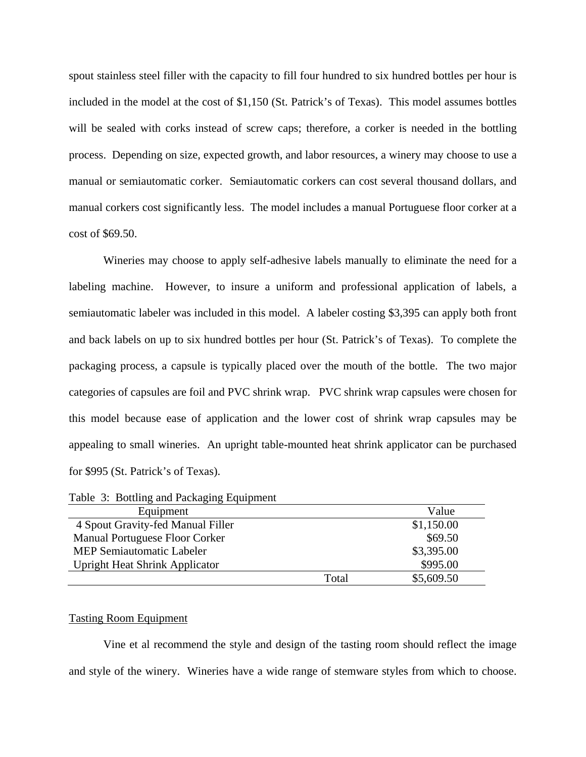spout stainless steel filler with the capacity to fill four hundred to six hundred bottles per hour is included in the model at the cost of \$1,150 (St. Patrick's of Texas). This model assumes bottles will be sealed with corks instead of screw caps; therefore, a corker is needed in the bottling process. Depending on size, expected growth, and labor resources, a winery may choose to use a manual or semiautomatic corker. Semiautomatic corkers can cost several thousand dollars, and manual corkers cost significantly less. The model includes a manual Portuguese floor corker at a cost of \$69.50.

 Wineries may choose to apply self-adhesive labels manually to eliminate the need for a labeling machine. However, to insure a uniform and professional application of labels, a semiautomatic labeler was included in this model. A labeler costing \$3,395 can apply both front and back labels on up to six hundred bottles per hour (St. Patrick's of Texas). To complete the packaging process, a capsule is typically placed over the mouth of the bottle. The two major categories of capsules are foil and PVC shrink wrap. PVC shrink wrap capsules were chosen for this model because ease of application and the lower cost of shrink wrap capsules may be appealing to small wineries. An upright table-mounted heat shrink applicator can be purchased for \$995 (St. Patrick's of Texas).

|  | Table 3: Bottling and Packaging Equipment |  |  |
|--|-------------------------------------------|--|--|
|  |                                           |  |  |

| Equipment                             |       | Value      |
|---------------------------------------|-------|------------|
| 4 Spout Gravity-fed Manual Filler     |       | \$1,150.00 |
| Manual Portuguese Floor Corker        |       | \$69.50    |
| <b>MEP Semiautomatic Labeler</b>      |       | \$3,395.00 |
| <b>Upright Heat Shrink Applicator</b> |       | \$995.00   |
|                                       | Total | \$5,609.50 |

#### Tasting Room Equipment

 Vine et al recommend the style and design of the tasting room should reflect the image and style of the winery. Wineries have a wide range of stemware styles from which to choose.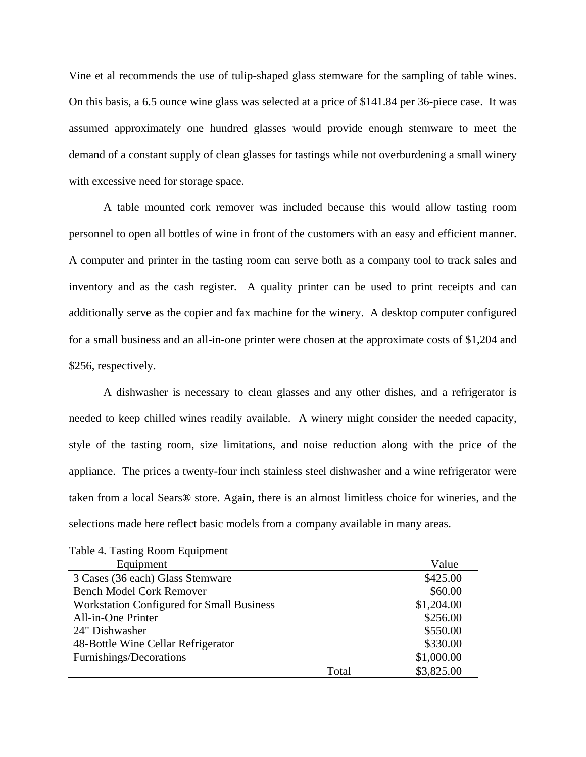Vine et al recommends the use of tulip-shaped glass stemware for the sampling of table wines. On this basis, a 6.5 ounce wine glass was selected at a price of \$141.84 per 36-piece case. It was assumed approximately one hundred glasses would provide enough stemware to meet the demand of a constant supply of clean glasses for tastings while not overburdening a small winery with excessive need for storage space.

 A table mounted cork remover was included because this would allow tasting room personnel to open all bottles of wine in front of the customers with an easy and efficient manner. A computer and printer in the tasting room can serve both as a company tool to track sales and inventory and as the cash register. A quality printer can be used to print receipts and can additionally serve as the copier and fax machine for the winery. A desktop computer configured for a small business and an all-in-one printer were chosen at the approximate costs of \$1,204 and \$256, respectively.

 A dishwasher is necessary to clean glasses and any other dishes, and a refrigerator is needed to keep chilled wines readily available. A winery might consider the needed capacity, style of the tasting room, size limitations, and noise reduction along with the price of the appliance. The prices a twenty-four inch stainless steel dishwasher and a wine refrigerator were taken from a local Sears® store. Again, there is an almost limitless choice for wineries, and the selections made here reflect basic models from a company available in many areas.

| Equipment                                        |       | Value      |
|--------------------------------------------------|-------|------------|
| 3 Cases (36 each) Glass Stemware                 |       | \$425.00   |
| <b>Bench Model Cork Remover</b>                  |       | \$60.00    |
| <b>Workstation Configured for Small Business</b> |       | \$1,204.00 |
| All-in-One Printer                               |       | \$256.00   |
| 24" Dishwasher                                   |       | \$550.00   |
| 48-Bottle Wine Cellar Refrigerator               |       | \$330.00   |
| Furnishings/Decorations                          |       | \$1,000.00 |
|                                                  | Total | \$3,825.00 |

Table 4. Tasting Room Equipment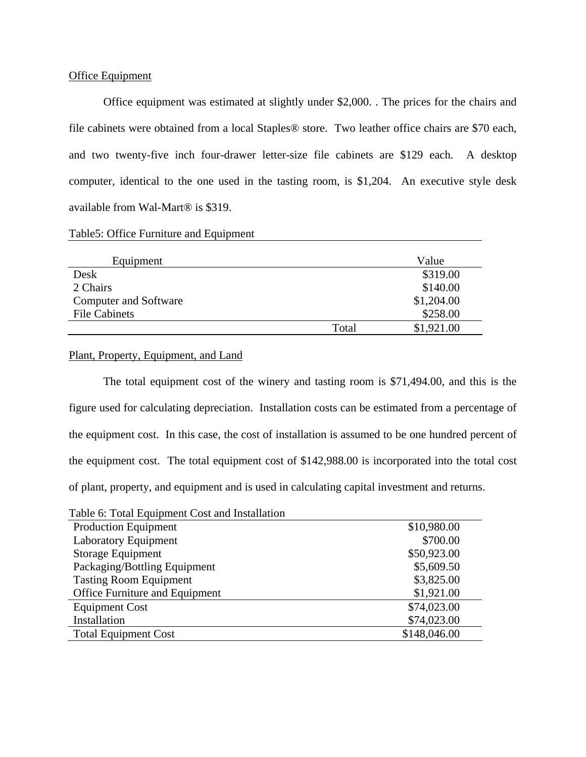# Office Equipment

 Office equipment was estimated at slightly under \$2,000. . The prices for the chairs and file cabinets were obtained from a local Staples® store. Two leather office chairs are \$70 each, and two twenty-five inch four-drawer letter-size file cabinets are \$129 each. A desktop computer, identical to the one used in the tasting room, is \$1,204. An executive style desk available from Wal-Mart® is \$319.

|  |  | Table5: Office Furniture and Equipment |  |  |  |
|--|--|----------------------------------------|--|--|--|
|--|--|----------------------------------------|--|--|--|

| Equipment                    |       | Value      |
|------------------------------|-------|------------|
| Desk                         |       | \$319.00   |
| 2 Chairs                     |       | \$140.00   |
| <b>Computer and Software</b> |       | \$1,204.00 |
| <b>File Cabinets</b>         |       | \$258.00   |
|                              | Total | \$1,921.00 |

# Plant, Property, Equipment, and Land

The total equipment cost of the winery and tasting room is \$71,494.00, and this is the figure used for calculating depreciation. Installation costs can be estimated from a percentage of the equipment cost. In this case, the cost of installation is assumed to be one hundred percent of the equipment cost. The total equipment cost of \$142,988.00 is incorporated into the total cost of plant, property, and equipment and is used in calculating capital investment and returns.

| Table 6: Total Equipment Cost and Installation |              |
|------------------------------------------------|--------------|
| <b>Production Equipment</b>                    | \$10,980.00  |
| <b>Laboratory Equipment</b>                    | \$700.00     |
| Storage Equipment                              | \$50,923.00  |
| Packaging/Bottling Equipment                   | \$5,609.50   |
| <b>Tasting Room Equipment</b>                  | \$3,825.00   |
| Office Furniture and Equipment                 | \$1,921.00   |
| <b>Equipment Cost</b>                          | \$74,023.00  |
| Installation                                   | \$74,023.00  |
| <b>Total Equipment Cost</b>                    | \$148,046.00 |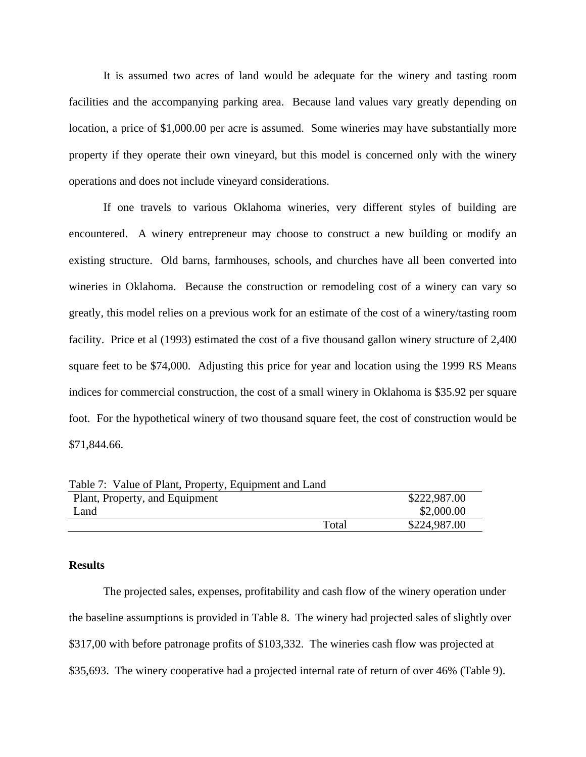It is assumed two acres of land would be adequate for the winery and tasting room facilities and the accompanying parking area. Because land values vary greatly depending on location, a price of \$1,000.00 per acre is assumed. Some wineries may have substantially more property if they operate their own vineyard, but this model is concerned only with the winery operations and does not include vineyard considerations.

 If one travels to various Oklahoma wineries, very different styles of building are encountered. A winery entrepreneur may choose to construct a new building or modify an existing structure. Old barns, farmhouses, schools, and churches have all been converted into wineries in Oklahoma. Because the construction or remodeling cost of a winery can vary so greatly, this model relies on a previous work for an estimate of the cost of a winery/tasting room facility. Price et al (1993) estimated the cost of a five thousand gallon winery structure of 2,400 square feet to be \$74,000. Adjusting this price for year and location using the 1999 RS Means indices for commercial construction, the cost of a small winery in Oklahoma is \$35.92 per square foot. For the hypothetical winery of two thousand square feet, the cost of construction would be \$71,844.66.

| Table 7: Value of Plant, Property, Equipment and Land |       |              |
|-------------------------------------------------------|-------|--------------|
| Plant, Property, and Equipment                        |       | \$222,987.00 |
| Land                                                  |       | \$2,000.00   |
|                                                       | Total | \$224,987.00 |

### **Results**

The projected sales, expenses, profitability and cash flow of the winery operation under the baseline assumptions is provided in Table 8. The winery had projected sales of slightly over \$317,00 with before patronage profits of \$103,332. The wineries cash flow was projected at \$35,693. The winery cooperative had a projected internal rate of return of over 46% (Table 9).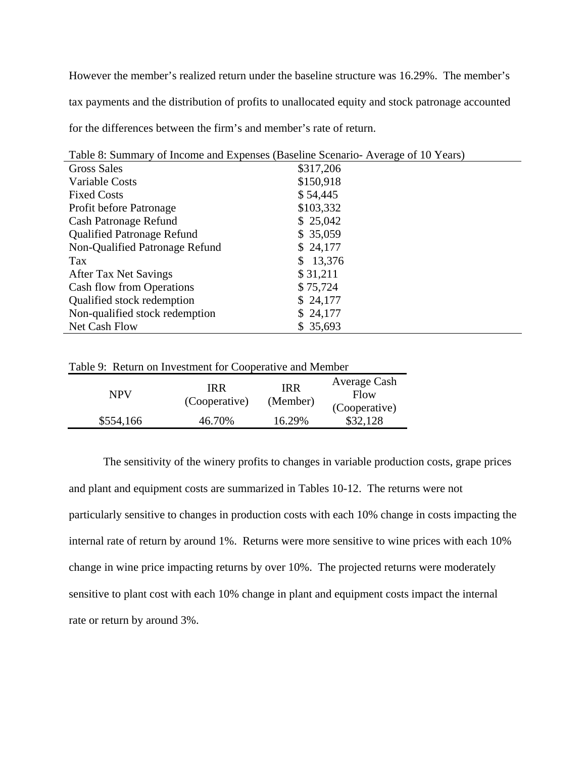However the member's realized return under the baseline structure was 16.29%. The member's tax payments and the distribution of profits to unallocated equity and stock patronage accounted for the differences between the firm's and member's rate of return.

| Table 8: Summary of Income and Expenses (Baseline Scenario-Average of 10 Years) |              |  |  |
|---------------------------------------------------------------------------------|--------------|--|--|
| <b>Gross Sales</b>                                                              | \$317,206    |  |  |
| Variable Costs                                                                  | \$150,918    |  |  |
| <b>Fixed Costs</b>                                                              | \$54,445     |  |  |
| Profit before Patronage                                                         | \$103,332    |  |  |
| <b>Cash Patronage Refund</b>                                                    | \$25,042     |  |  |
| <b>Qualified Patronage Refund</b>                                               | \$35,059     |  |  |
| Non-Qualified Patronage Refund                                                  | \$24,177     |  |  |
| Tax                                                                             | 13,376<br>S. |  |  |
| After Tax Net Savings                                                           | \$31,211     |  |  |
| <b>Cash flow from Operations</b>                                                | \$75,724     |  |  |
| Qualified stock redemption                                                      | \$24,177     |  |  |
| Non-qualified stock redemption                                                  | \$24,177     |  |  |
| Net Cash Flow                                                                   | \$35,693     |  |  |

| Table 9: Return on Investment for Cooperative and Member |                      |                        |                           |  |
|----------------------------------------------------------|----------------------|------------------------|---------------------------|--|
| <b>NPV</b>                                               | IRR<br>(Cooperative) | <b>IRR</b><br>(Member) | Average Cash<br>Flow      |  |
| \$554,166                                                | 46.70%               | 16.29%                 | (Cooperative)<br>\$32,128 |  |

The sensitivity of the winery profits to changes in variable production costs, grape prices and plant and equipment costs are summarized in Tables 10-12. The returns were not particularly sensitive to changes in production costs with each 10% change in costs impacting the internal rate of return by around 1%. Returns were more sensitive to wine prices with each 10% change in wine price impacting returns by over 10%. The projected returns were moderately sensitive to plant cost with each 10% change in plant and equipment costs impact the internal rate or return by around 3%.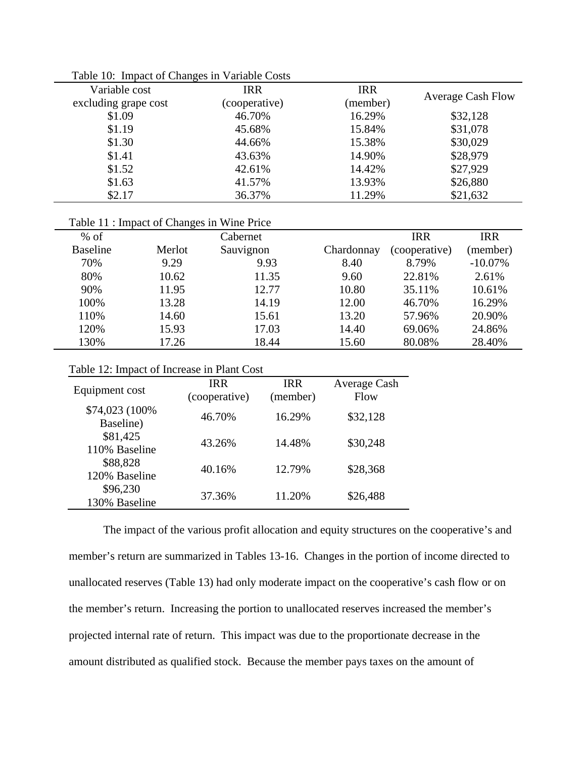| Variable cost        |                                            | <b>IRR</b>    | <b>IRR</b> |               |                          |
|----------------------|--------------------------------------------|---------------|------------|---------------|--------------------------|
| excluding grape cost |                                            | (cooperative) | (member)   |               | <b>Average Cash Flow</b> |
| \$1.09               |                                            | 46.70%        | 16.29%     |               | \$32,128                 |
| \$1.19               |                                            | 45.68%        | 15.84%     |               | \$31,078                 |
| \$1.30               |                                            | 44.66%        | 15.38%     |               | \$30,029                 |
| \$1.41               |                                            | 43.63%        | 14.90%     |               | \$28,979                 |
| \$1.52               |                                            | 42.61%        | 14.42%     |               | \$27,929                 |
| \$1.63               |                                            | 41.57%        | 13.93%     |               | \$26,880                 |
| \$2.17               |                                            | 36.37%        | 11.29%     |               | \$21,632                 |
|                      |                                            |               |            |               |                          |
|                      | Table 11 : Impact of Changes in Wine Price |               |            |               |                          |
| $%$ of               |                                            | Cabernet      |            | <b>IRR</b>    | <b>IRR</b>               |
| <b>Baseline</b>      | Merlot                                     | Sauvignon     | Chardonnay | (cooperative) | (member)                 |
| 70%                  | 9.29                                       | 9.93          | 8.40       | 8.79%         | $-10.07\%$               |
| 80%                  | 10.62                                      | 11.35         | 9.60       | 22.81%        | 2.61%                    |
| 90%                  | 11.95                                      | 12.77         | 10.80      | 35.11%        | 10.61%                   |
| 100%                 | 13.28                                      | 14.19         | 12.00      | 46.70%        | 16.29%                   |
| 110%                 | 14.60                                      | 15.61         | 13.20      | 57.96%        | 20.90%                   |
| 120%                 | 15.93                                      | 17.03         | 14.40      | 69.06%        | 24.86%                   |
| 130%                 | 17.26                                      | 18.44         | 15.60      | 80.08%        | 28.40%                   |
|                      |                                            |               |            |               |                          |

Table 10: Impact of Changes in Variable Costs

# Table 12: Impact of Increase in Plant Cost

| Equipment cost               | <b>IRR</b><br>(cooperative) | <b>IRR</b><br>(member) | Average Cash<br>Flow |
|------------------------------|-----------------------------|------------------------|----------------------|
| \$74,023 (100%)<br>Baseline) | 46.70%                      | 16.29%                 | \$32,128             |
| \$81,425<br>110% Baseline    | 43.26%                      | 14.48%                 | \$30,248             |
| \$88,828<br>120% Baseline    | 40.16%                      | 12.79%                 | \$28,368             |
| \$96,230<br>130% Baseline    | 37.36%                      | 11.20%                 | \$26,488             |

The impact of the various profit allocation and equity structures on the cooperative's and member's return are summarized in Tables 13-16. Changes in the portion of income directed to unallocated reserves (Table 13) had only moderate impact on the cooperative's cash flow or on the member's return. Increasing the portion to unallocated reserves increased the member's projected internal rate of return. This impact was due to the proportionate decrease in the amount distributed as qualified stock. Because the member pays taxes on the amount of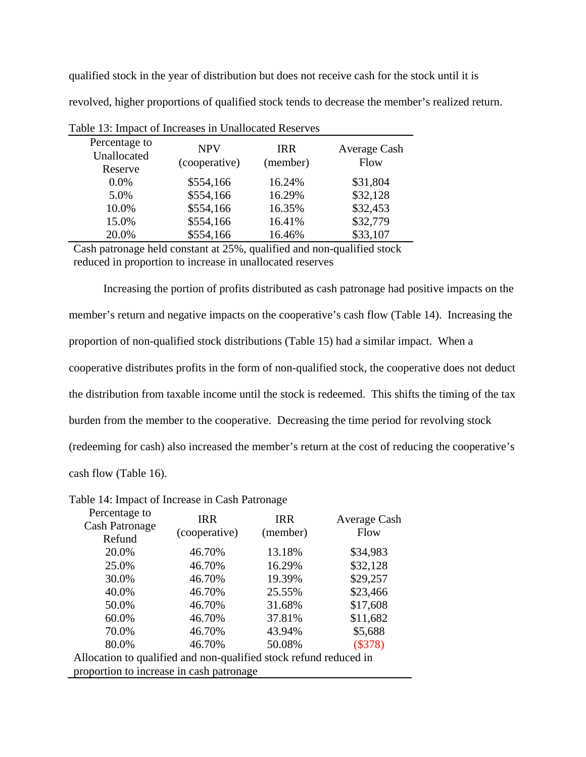qualified stock in the year of distribution but does not receive cash for the stock until it is revolved, higher proportions of qualified stock tends to decrease the member's realized return.

| Percentage to<br>Unallocated<br>Reserve | <b>NPV</b><br>(cooperative) | <b>IRR</b><br>(member) | Average Cash<br>Flow |
|-----------------------------------------|-----------------------------|------------------------|----------------------|
| $0.0\%$                                 | \$554,166                   | 16.24%                 | \$31,804             |
| 5.0%                                    | \$554,166                   | 16.29%                 | \$32,128             |
| 10.0%                                   | \$554,166                   | 16.35%                 | \$32,453             |
| 15.0%                                   | \$554,166                   | 16.41%                 | \$32,779             |
| 20.0%                                   | \$554,166                   | 16.46%                 | \$33,107             |
|                                         |                             |                        |                      |

Table 13: Impact of Increases in Unallocated Reserves

Cash patronage held constant at 25%, qualified and non-qualified stock reduced in proportion to increase in unallocated reserves

Increasing the portion of profits distributed as cash patronage had positive impacts on the member's return and negative impacts on the cooperative's cash flow (Table 14). Increasing the proportion of non-qualified stock distributions (Table 15) had a similar impact. When a cooperative distributes profits in the form of non-qualified stock, the cooperative does not deduct the distribution from taxable income until the stock is redeemed. This shifts the timing of the tax burden from the member to the cooperative. Decreasing the time period for revolving stock (redeeming for cash) also increased the member's return at the cost of reducing the cooperative's cash flow (Table 16).

Table 14: Impact of Increase in Cash Patronage

| Percentage to<br><b>Cash Patronage</b>                            | <b>IRR</b><br>(cooperative) | <b>IRR</b><br>(member) | Average Cash<br>Flow |
|-------------------------------------------------------------------|-----------------------------|------------------------|----------------------|
| Refund                                                            |                             |                        |                      |
| 20.0%                                                             | 46.70%                      | 13.18%                 | \$34,983             |
| 25.0%                                                             | 46.70%                      | 16.29%                 | \$32,128             |
| 30.0%                                                             | 46.70%                      | 19.39%                 | \$29,257             |
| 40.0%                                                             | 46.70%                      | 25.55%                 | \$23,466             |
| 50.0%                                                             | 46.70%                      | 31.68%                 | \$17,608             |
| 60.0%                                                             | 46.70%                      | 37.81%                 | \$11,682             |
| 70.0%                                                             | 46.70%                      | 43.94%                 | \$5,688              |
| 80.0%                                                             | 46.70%                      | 50.08%                 | (\$378)              |
| Allocation to qualified and non-qualified stock refund reduced in |                             |                        |                      |
| proportion to increase in cash patronage                          |                             |                        |                      |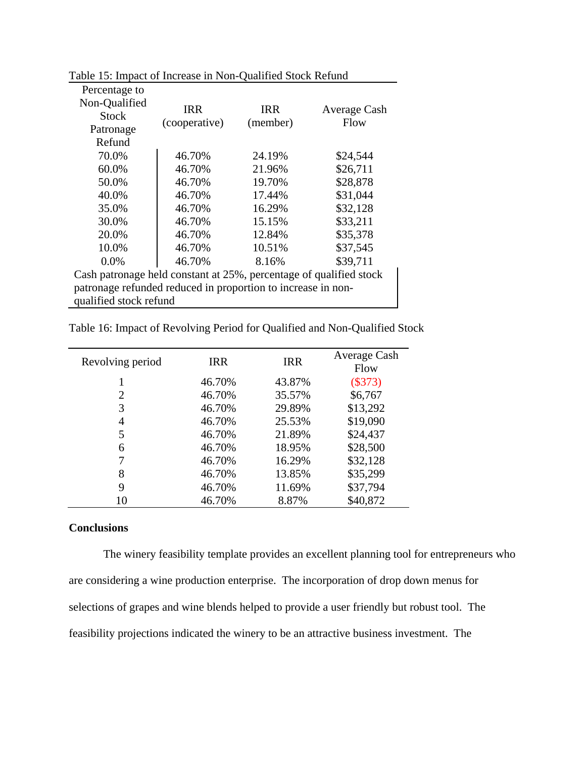| Percentage to                                                      |               |            |              |
|--------------------------------------------------------------------|---------------|------------|--------------|
| Non-Qualified                                                      | <b>IRR</b>    | <b>IRR</b> | Average Cash |
| <b>Stock</b>                                                       | (cooperative) | (member)   | Flow         |
| Patronage                                                          |               |            |              |
| Refund                                                             |               |            |              |
| 70.0%                                                              | 46.70%        | 24.19%     | \$24,544     |
| 60.0%                                                              | 46.70%        | 21.96%     | \$26,711     |
| 50.0%                                                              | 46.70%        | 19.70%     | \$28,878     |
| 40.0%                                                              | 46.70%        | 17.44%     | \$31,044     |
| 35.0%                                                              | 46.70%        | 16.29%     | \$32,128     |
| 30.0%                                                              | 46.70%        | 15.15%     | \$33,211     |
| 20.0%                                                              | 46.70%        | 12.84%     | \$35,378     |
| 10.0%                                                              | 46.70%        | 10.51%     | \$37,545     |
| 0.0%                                                               | 46.70%        | 8.16%      | \$39,711     |
| Cash patronage held constant at 25%, percentage of qualified stock |               |            |              |
| patronage refunded reduced in proportion to increase in non-       |               |            |              |
| qualified stock refund                                             |               |            |              |

Table 15: Impact of Increase in Non-Qualified Stock Refund

|  | Table 16: Impact of Revolving Period for Qualified and Non-Qualified Stock |  |
|--|----------------------------------------------------------------------------|--|
|  |                                                                            |  |

| Revolving period | <b>IRR</b> | <b>IRR</b> | Average Cash<br>Flow |
|------------------|------------|------------|----------------------|
|                  | 46.70%     | 43.87%     | (\$373)              |
| 2                | 46.70%     | 35.57%     | \$6,767              |
| 3                | 46.70%     | 29.89%     | \$13,292             |
| 4                | 46.70%     | 25.53%     | \$19,090             |
| 5                | 46.70%     | 21.89%     | \$24,437             |
| 6                | 46.70%     | 18.95%     | \$28,500             |
|                  | 46.70%     | 16.29%     | \$32,128             |
| 8                | 46.70%     | 13.85%     | \$35,299             |
| 9                | 46.70%     | 11.69%     | \$37,794             |
| 10               | 46.70%     | 8.87%      | \$40,872             |

# **Conclusions**

The winery feasibility template provides an excellent planning tool for entrepreneurs who are considering a wine production enterprise. The incorporation of drop down menus for selections of grapes and wine blends helped to provide a user friendly but robust tool. The feasibility projections indicated the winery to be an attractive business investment. The